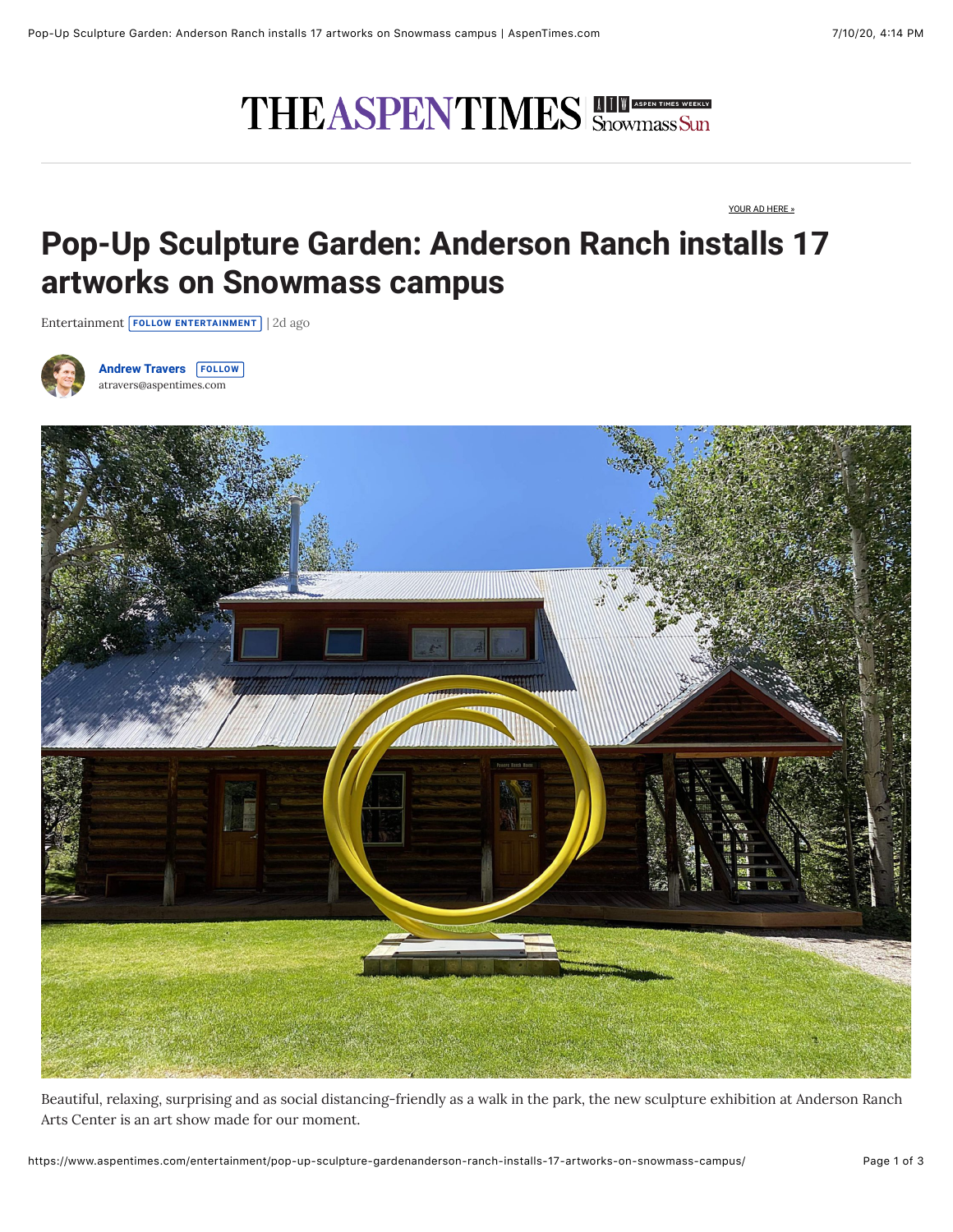## THEASPENTIMES Snowmass Sun

[YOUR AD HERE »](https://www.aspentimes.com/your-ad-here/)

## **Pop-Up Sculpture Garden: Anderson Ranch installs 17 artworks on Snowmass campus**

[Entertainment](https://www.aspentimes.com/recent-stories/entertainment) **[FOLLOW ENTERTAINMENT](https://www.aspentimes.com/entertainment/pop-up-sculpture-gardenanderson-ranch-installs-17-artworks-on-snowmass-campus/#)** | 2d ago



**[Andrew Travers](https://www.aspentimes.com/profile/andrew-travers/) [FOLLOW](https://www.aspentimes.com/entertainment/pop-up-sculpture-gardenanderson-ranch-installs-17-artworks-on-snowmass-campus/#)** [atravers@aspentimes.com](mailto:atravers@aspentimes.com)



Beautiful, relaxing, surprising and as social distancing-friendly as a walk in the park, the new sculpture exhibition at Anderson Ranch Arts Center is an art show made for our moment.